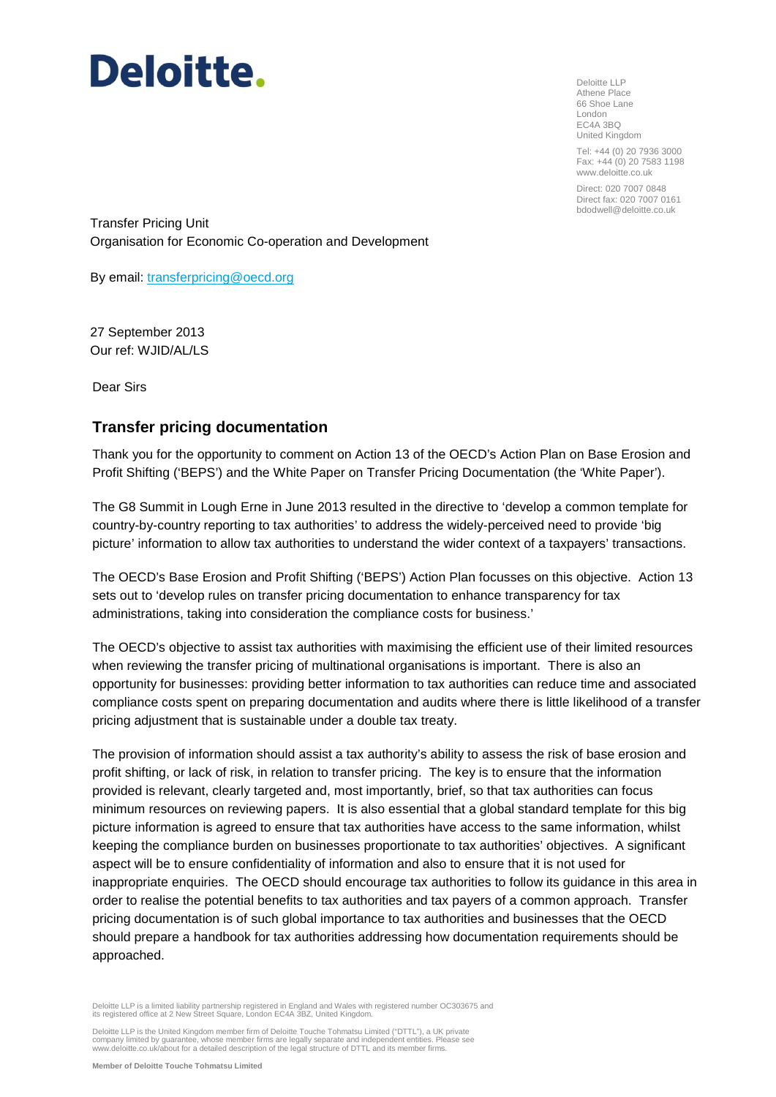Deloitte LLP Athene Place 66 Shoe Lane London EC4A 3BQ United Kingdom

Tel: +44 (0) 20 7936 3000 Fax: +44 (0) 20 7583 1198 www.deloitte.co.uk

Direct: 020 7007 0848 Direct fax: 020 7007 0161 bdodwell@deloitte.co.uk

Transfer Pricing Unit Organisation for Economic Co-operation and Development

By email: [transferpricing@oecd.org](mailto:transferpricing@oecd.org)

27 September 2013 Our ref: WJID/AL/LS

Dear Sirs

### **Transfer pricing documentation**

Thank you for the opportunity to comment on Action 13 of the OECD's Action Plan on Base Erosion and Profit Shifting ('BEPS') and the White Paper on Transfer Pricing Documentation (the 'White Paper').

The G8 Summit in Lough Erne in June 2013 resulted in the directive to 'develop a common template for country-by-country reporting to tax authorities' to address the widely-perceived need to provide 'big picture' information to allow tax authorities to understand the wider context of a taxpayers' transactions.

The OECD's Base Erosion and Profit Shifting ('BEPS') Action Plan focusses on this objective. Action 13 sets out to 'develop rules on transfer pricing documentation to enhance transparency for tax administrations, taking into consideration the compliance costs for business.'

The OECD's objective to assist tax authorities with maximising the efficient use of their limited resources when reviewing the transfer pricing of multinational organisations is important. There is also an opportunity for businesses: providing better information to tax authorities can reduce time and associated compliance costs spent on preparing documentation and audits where there is little likelihood of a transfer pricing adjustment that is sustainable under a double tax treaty.

The provision of information should assist a tax authority's ability to assess the risk of base erosion and profit shifting, or lack of risk, in relation to transfer pricing. The key is to ensure that the information provided is relevant, clearly targeted and, most importantly, brief, so that tax authorities can focus minimum resources on reviewing papers. It is also essential that a global standard template for this big picture information is agreed to ensure that tax authorities have access to the same information, whilst keeping the compliance burden on businesses proportionate to tax authorities' objectives. A significant aspect will be to ensure confidentiality of information and also to ensure that it is not used for inappropriate enquiries. The OECD should encourage tax authorities to follow its guidance in this area in order to realise the potential benefits to tax authorities and tax payers of a common approach. Transfer pricing documentation is of such global importance to tax authorities and businesses that the OECD should prepare a handbook for tax authorities addressing how documentation requirements should be approached.

Deloitte LLP is a limited liability partnership registered in England and Wales with registered number OC303675 and<br>its registered office at 2 New Street Square, London EC4A 3BZ, United Kingdom.

Deloitte LLP is the United Kingdom member firm of Deloitte Touche Tohmatsu Limited ("DTTL"), a UK private company limited by guarantee, whose member firms are legally separate and independent entities. Please see www.deloitte.co.uk/about for a detailed description of the legal structure of DTTL and its member firms.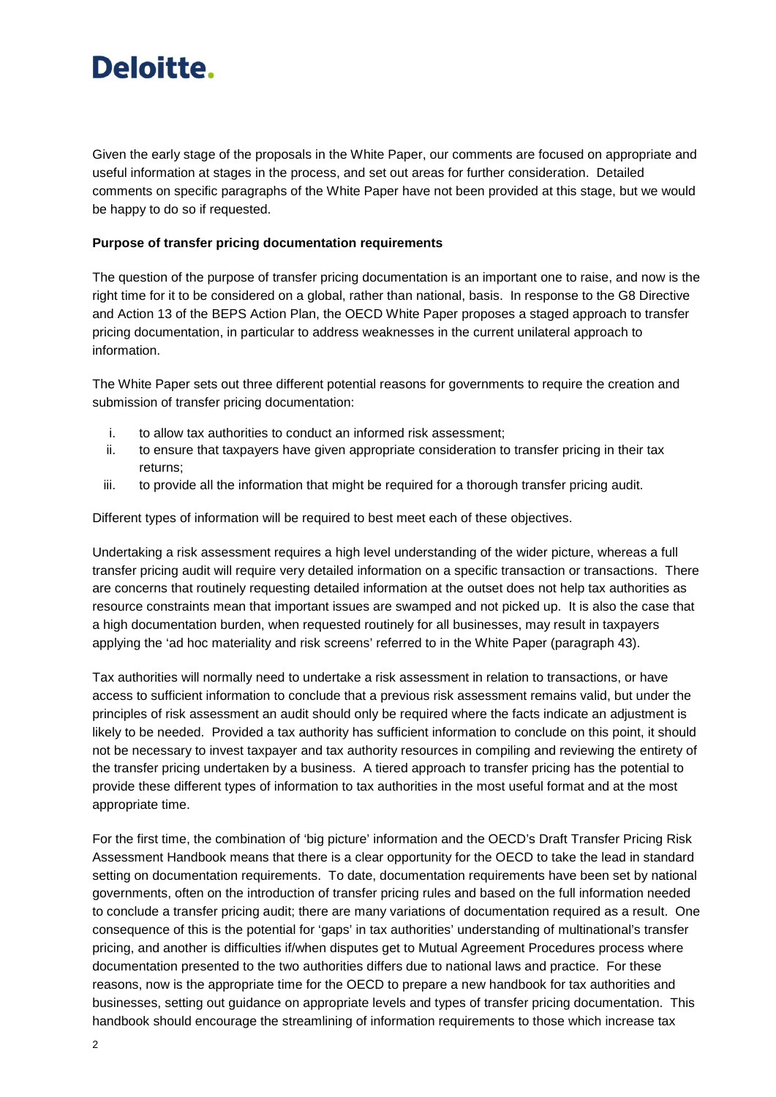Given the early stage of the proposals in the White Paper, our comments are focused on appropriate and useful information at stages in the process, and set out areas for further consideration. Detailed comments on specific paragraphs of the White Paper have not been provided at this stage, but we would be happy to do so if requested.

#### **Purpose of transfer pricing documentation requirements**

The question of the purpose of transfer pricing documentation is an important one to raise, and now is the right time for it to be considered on a global, rather than national, basis. In response to the G8 Directive and Action 13 of the BEPS Action Plan, the OECD White Paper proposes a staged approach to transfer pricing documentation, in particular to address weaknesses in the current unilateral approach to information.

The White Paper sets out three different potential reasons for governments to require the creation and submission of transfer pricing documentation:

- i. to allow tax authorities to conduct an informed risk assessment;
- ii. to ensure that taxpayers have given appropriate consideration to transfer pricing in their tax returns;
- iii. to provide all the information that might be required for a thorough transfer pricing audit.

Different types of information will be required to best meet each of these objectives.

Undertaking a risk assessment requires a high level understanding of the wider picture, whereas a full transfer pricing audit will require very detailed information on a specific transaction or transactions. There are concerns that routinely requesting detailed information at the outset does not help tax authorities as resource constraints mean that important issues are swamped and not picked up. It is also the case that a high documentation burden, when requested routinely for all businesses, may result in taxpayers applying the 'ad hoc materiality and risk screens' referred to in the White Paper (paragraph 43).

Tax authorities will normally need to undertake a risk assessment in relation to transactions, or have access to sufficient information to conclude that a previous risk assessment remains valid, but under the principles of risk assessment an audit should only be required where the facts indicate an adjustment is likely to be needed. Provided a tax authority has sufficient information to conclude on this point, it should not be necessary to invest taxpayer and tax authority resources in compiling and reviewing the entirety of the transfer pricing undertaken by a business. A tiered approach to transfer pricing has the potential to provide these different types of information to tax authorities in the most useful format and at the most appropriate time.

For the first time, the combination of 'big picture' information and the OECD's Draft Transfer Pricing Risk Assessment Handbook means that there is a clear opportunity for the OECD to take the lead in standard setting on documentation requirements. To date, documentation requirements have been set by national governments, often on the introduction of transfer pricing rules and based on the full information needed to conclude a transfer pricing audit; there are many variations of documentation required as a result. One consequence of this is the potential for 'gaps' in tax authorities' understanding of multinational's transfer pricing, and another is difficulties if/when disputes get to Mutual Agreement Procedures process where documentation presented to the two authorities differs due to national laws and practice. For these reasons, now is the appropriate time for the OECD to prepare a new handbook for tax authorities and businesses, setting out guidance on appropriate levels and types of transfer pricing documentation. This handbook should encourage the streamlining of information requirements to those which increase tax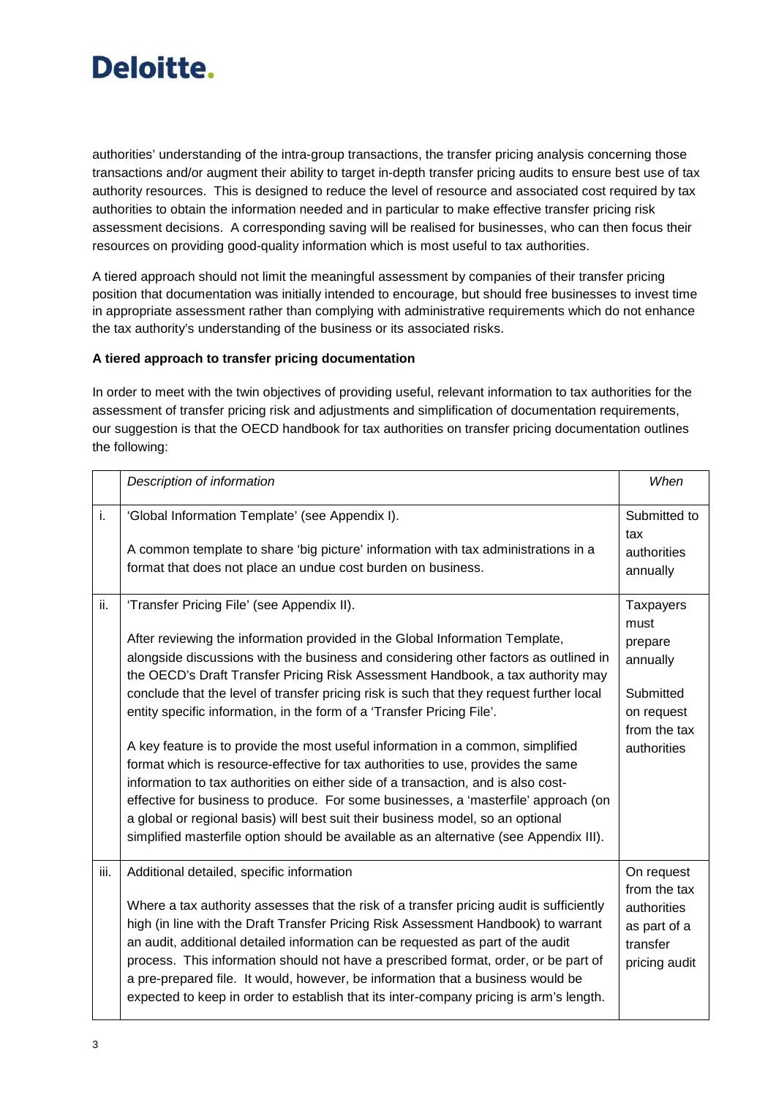

authorities' understanding of the intra-group transactions, the transfer pricing analysis concerning those transactions and/or augment their ability to target in-depth transfer pricing audits to ensure best use of tax authority resources. This is designed to reduce the level of resource and associated cost required by tax authorities to obtain the information needed and in particular to make effective transfer pricing risk assessment decisions. A corresponding saving will be realised for businesses, who can then focus their resources on providing good-quality information which is most useful to tax authorities.

A tiered approach should not limit the meaningful assessment by companies of their transfer pricing position that documentation was initially intended to encourage, but should free businesses to invest time in appropriate assessment rather than complying with administrative requirements which do not enhance the tax authority's understanding of the business or its associated risks.

#### **A tiered approach to transfer pricing documentation**

In order to meet with the twin objectives of providing useful, relevant information to tax authorities for the assessment of transfer pricing risk and adjustments and simplification of documentation requirements, our suggestion is that the OECD handbook for tax authorities on transfer pricing documentation outlines the following:

|      | Description of information                                                                                                                                                                                                                                                                                                                                                                                                                                                                                                                                                                                                                                                                                                                                                                                                                                                                                                                                                                                  | When                                                                                                      |
|------|-------------------------------------------------------------------------------------------------------------------------------------------------------------------------------------------------------------------------------------------------------------------------------------------------------------------------------------------------------------------------------------------------------------------------------------------------------------------------------------------------------------------------------------------------------------------------------------------------------------------------------------------------------------------------------------------------------------------------------------------------------------------------------------------------------------------------------------------------------------------------------------------------------------------------------------------------------------------------------------------------------------|-----------------------------------------------------------------------------------------------------------|
| i.   | 'Global Information Template' (see Appendix I).<br>A common template to share 'big picture' information with tax administrations in a<br>format that does not place an undue cost burden on business.                                                                                                                                                                                                                                                                                                                                                                                                                                                                                                                                                                                                                                                                                                                                                                                                       | Submitted to<br>tax<br>authorities<br>annually                                                            |
| ii.  | 'Transfer Pricing File' (see Appendix II).<br>After reviewing the information provided in the Global Information Template,<br>alongside discussions with the business and considering other factors as outlined in<br>the OECD's Draft Transfer Pricing Risk Assessment Handbook, a tax authority may<br>conclude that the level of transfer pricing risk is such that they request further local<br>entity specific information, in the form of a 'Transfer Pricing File'.<br>A key feature is to provide the most useful information in a common, simplified<br>format which is resource-effective for tax authorities to use, provides the same<br>information to tax authorities on either side of a transaction, and is also cost-<br>effective for business to produce. For some businesses, a 'masterfile' approach (on<br>a global or regional basis) will best suit their business model, so an optional<br>simplified masterfile option should be available as an alternative (see Appendix III). | <b>Taxpayers</b><br>must<br>prepare<br>annually<br>Submitted<br>on request<br>from the tax<br>authorities |
| iii. | Additional detailed, specific information<br>Where a tax authority assesses that the risk of a transfer pricing audit is sufficiently<br>high (in line with the Draft Transfer Pricing Risk Assessment Handbook) to warrant<br>an audit, additional detailed information can be requested as part of the audit<br>process. This information should not have a prescribed format, order, or be part of<br>a pre-prepared file. It would, however, be information that a business would be<br>expected to keep in order to establish that its inter-company pricing is arm's length.                                                                                                                                                                                                                                                                                                                                                                                                                          | On request<br>from the tax<br>authorities<br>as part of a<br>transfer<br>pricing audit                    |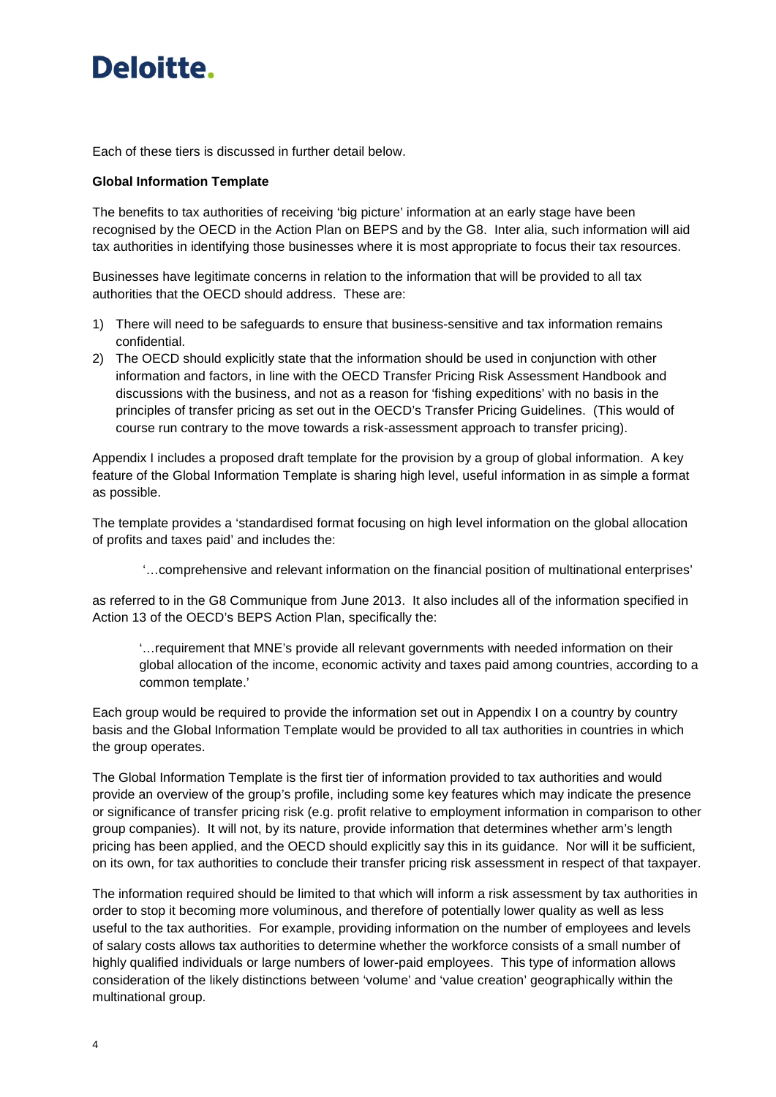Each of these tiers is discussed in further detail below.

#### **Global Information Template**

The benefits to tax authorities of receiving 'big picture' information at an early stage have been recognised by the OECD in the Action Plan on BEPS and by the G8. Inter alia, such information will aid tax authorities in identifying those businesses where it is most appropriate to focus their tax resources.

Businesses have legitimate concerns in relation to the information that will be provided to all tax authorities that the OECD should address. These are:

- 1) There will need to be safeguards to ensure that business-sensitive and tax information remains confidential.
- 2) The OECD should explicitly state that the information should be used in conjunction with other information and factors, in line with the OECD Transfer Pricing Risk Assessment Handbook and discussions with the business, and not as a reason for 'fishing expeditions' with no basis in the principles of transfer pricing as set out in the OECD's Transfer Pricing Guidelines. (This would of course run contrary to the move towards a risk-assessment approach to transfer pricing).

Appendix I includes a proposed draft template for the provision by a group of global information. A key feature of the Global Information Template is sharing high level, useful information in as simple a format as possible.

The template provides a 'standardised format focusing on high level information on the global allocation of profits and taxes paid' and includes the:

'…comprehensive and relevant information on the financial position of multinational enterprises'

as referred to in the G8 Communique from June 2013. It also includes all of the information specified in Action 13 of the OECD's BEPS Action Plan, specifically the:

'…requirement that MNE's provide all relevant governments with needed information on their global allocation of the income, economic activity and taxes paid among countries, according to a common template.'

Each group would be required to provide the information set out in Appendix I on a country by country basis and the Global Information Template would be provided to all tax authorities in countries in which the group operates.

The Global Information Template is the first tier of information provided to tax authorities and would provide an overview of the group's profile, including some key features which may indicate the presence or significance of transfer pricing risk (e.g. profit relative to employment information in comparison to other group companies). It will not, by its nature, provide information that determines whether arm's length pricing has been applied, and the OECD should explicitly say this in its guidance. Nor will it be sufficient, on its own, for tax authorities to conclude their transfer pricing risk assessment in respect of that taxpayer.

The information required should be limited to that which will inform a risk assessment by tax authorities in order to stop it becoming more voluminous, and therefore of potentially lower quality as well as less useful to the tax authorities. For example, providing information on the number of employees and levels of salary costs allows tax authorities to determine whether the workforce consists of a small number of highly qualified individuals or large numbers of lower-paid employees. This type of information allows consideration of the likely distinctions between 'volume' and 'value creation' geographically within the multinational group.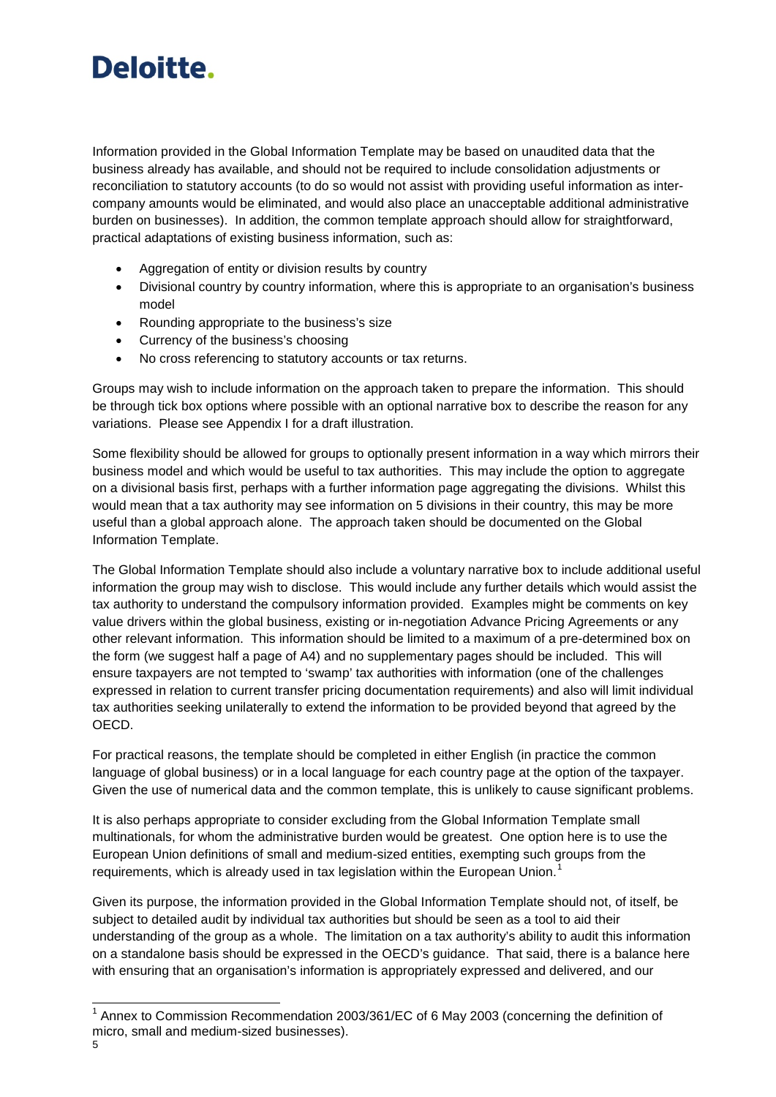Information provided in the Global Information Template may be based on unaudited data that the business already has available, and should not be required to include consolidation adjustments or reconciliation to statutory accounts (to do so would not assist with providing useful information as intercompany amounts would be eliminated, and would also place an unacceptable additional administrative burden on businesses). In addition, the common template approach should allow for straightforward, practical adaptations of existing business information, such as:

- Aggregation of entity or division results by country
- Divisional country by country information, where this is appropriate to an organisation's business model
- Rounding appropriate to the business's size
- Currency of the business's choosing
- No cross referencing to statutory accounts or tax returns.

Groups may wish to include information on the approach taken to prepare the information. This should be through tick box options where possible with an optional narrative box to describe the reason for any variations. Please see Appendix I for a draft illustration.

Some flexibility should be allowed for groups to optionally present information in a way which mirrors their business model and which would be useful to tax authorities. This may include the option to aggregate on a divisional basis first, perhaps with a further information page aggregating the divisions. Whilst this would mean that a tax authority may see information on 5 divisions in their country, this may be more useful than a global approach alone. The approach taken should be documented on the Global Information Template.

The Global Information Template should also include a voluntary narrative box to include additional useful information the group may wish to disclose. This would include any further details which would assist the tax authority to understand the compulsory information provided. Examples might be comments on key value drivers within the global business, existing or in-negotiation Advance Pricing Agreements or any other relevant information. This information should be limited to a maximum of a pre-determined box on the form (we suggest half a page of A4) and no supplementary pages should be included. This will ensure taxpayers are not tempted to 'swamp' tax authorities with information (one of the challenges expressed in relation to current transfer pricing documentation requirements) and also will limit individual tax authorities seeking unilaterally to extend the information to be provided beyond that agreed by the OECD.

For practical reasons, the template should be completed in either English (in practice the common language of global business) or in a local language for each country page at the option of the taxpayer. Given the use of numerical data and the common template, this is unlikely to cause significant problems.

It is also perhaps appropriate to consider excluding from the Global Information Template small multinationals, for whom the administrative burden would be greatest. One option here is to use the European Union definitions of small and medium-sized entities, exempting such groups from the requirements, which is already used in tax legislation within the European Union.<sup>[1](#page-4-0)</sup>

Given its purpose, the information provided in the Global Information Template should not, of itself, be subject to detailed audit by individual tax authorities but should be seen as a tool to aid their understanding of the group as a whole. The limitation on a tax authority's ability to audit this information on a standalone basis should be expressed in the OECD's guidance. That said, there is a balance here with ensuring that an organisation's information is appropriately expressed and delivered, and our

Ę

<span id="page-4-0"></span> $1$  Annex to Commission Recommendation 2003/361/EC of 6 May 2003 (concerning the definition of micro, small and medium-sized businesses).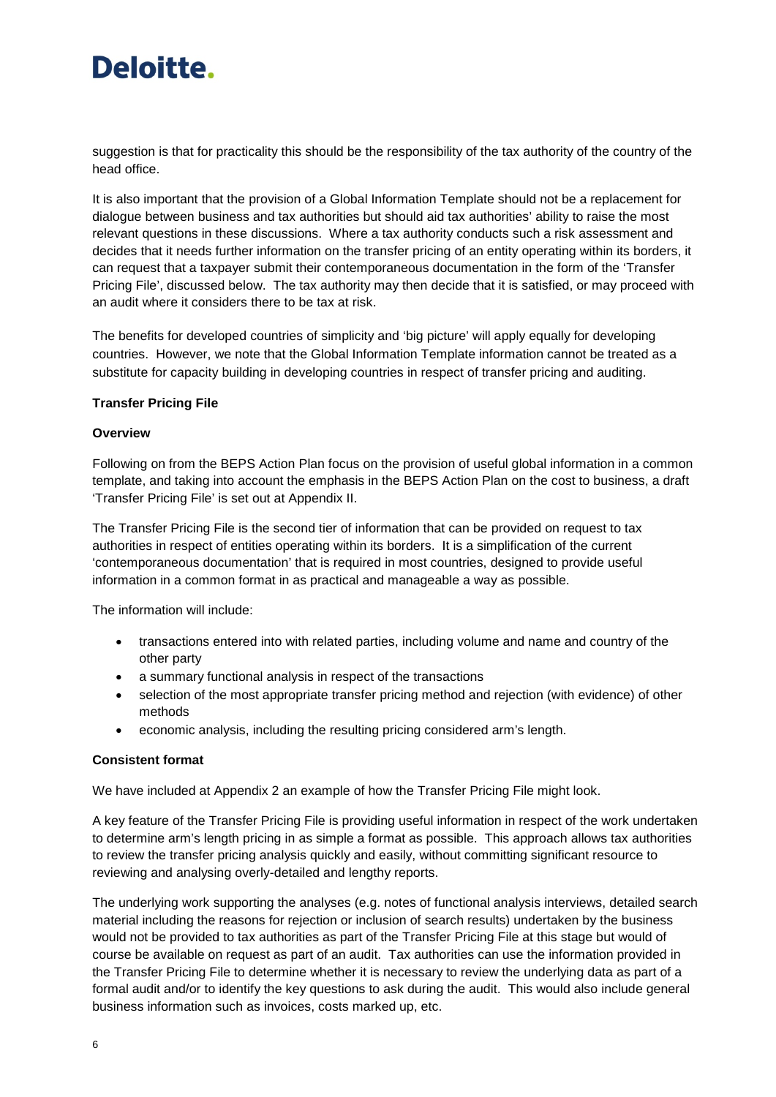suggestion is that for practicality this should be the responsibility of the tax authority of the country of the head office.

It is also important that the provision of a Global Information Template should not be a replacement for dialogue between business and tax authorities but should aid tax authorities' ability to raise the most relevant questions in these discussions. Where a tax authority conducts such a risk assessment and decides that it needs further information on the transfer pricing of an entity operating within its borders, it can request that a taxpayer submit their contemporaneous documentation in the form of the 'Transfer Pricing File', discussed below. The tax authority may then decide that it is satisfied, or may proceed with an audit where it considers there to be tax at risk.

The benefits for developed countries of simplicity and 'big picture' will apply equally for developing countries. However, we note that the Global Information Template information cannot be treated as a substitute for capacity building in developing countries in respect of transfer pricing and auditing.

#### **Transfer Pricing File**

#### **Overview**

Following on from the BEPS Action Plan focus on the provision of useful global information in a common template, and taking into account the emphasis in the BEPS Action Plan on the cost to business, a draft 'Transfer Pricing File' is set out at Appendix II.

The Transfer Pricing File is the second tier of information that can be provided on request to tax authorities in respect of entities operating within its borders. It is a simplification of the current 'contemporaneous documentation' that is required in most countries, designed to provide useful information in a common format in as practical and manageable a way as possible.

The information will include:

- transactions entered into with related parties, including volume and name and country of the other party
- a summary functional analysis in respect of the transactions
- selection of the most appropriate transfer pricing method and rejection (with evidence) of other methods
- economic analysis, including the resulting pricing considered arm's length.

#### **Consistent format**

We have included at Appendix 2 an example of how the Transfer Pricing File might look.

A key feature of the Transfer Pricing File is providing useful information in respect of the work undertaken to determine arm's length pricing in as simple a format as possible. This approach allows tax authorities to review the transfer pricing analysis quickly and easily, without committing significant resource to reviewing and analysing overly-detailed and lengthy reports.

The underlying work supporting the analyses (e.g. notes of functional analysis interviews, detailed search material including the reasons for rejection or inclusion of search results) undertaken by the business would not be provided to tax authorities as part of the Transfer Pricing File at this stage but would of course be available on request as part of an audit. Tax authorities can use the information provided in the Transfer Pricing File to determine whether it is necessary to review the underlying data as part of a formal audit and/or to identify the key questions to ask during the audit. This would also include general business information such as invoices, costs marked up, etc.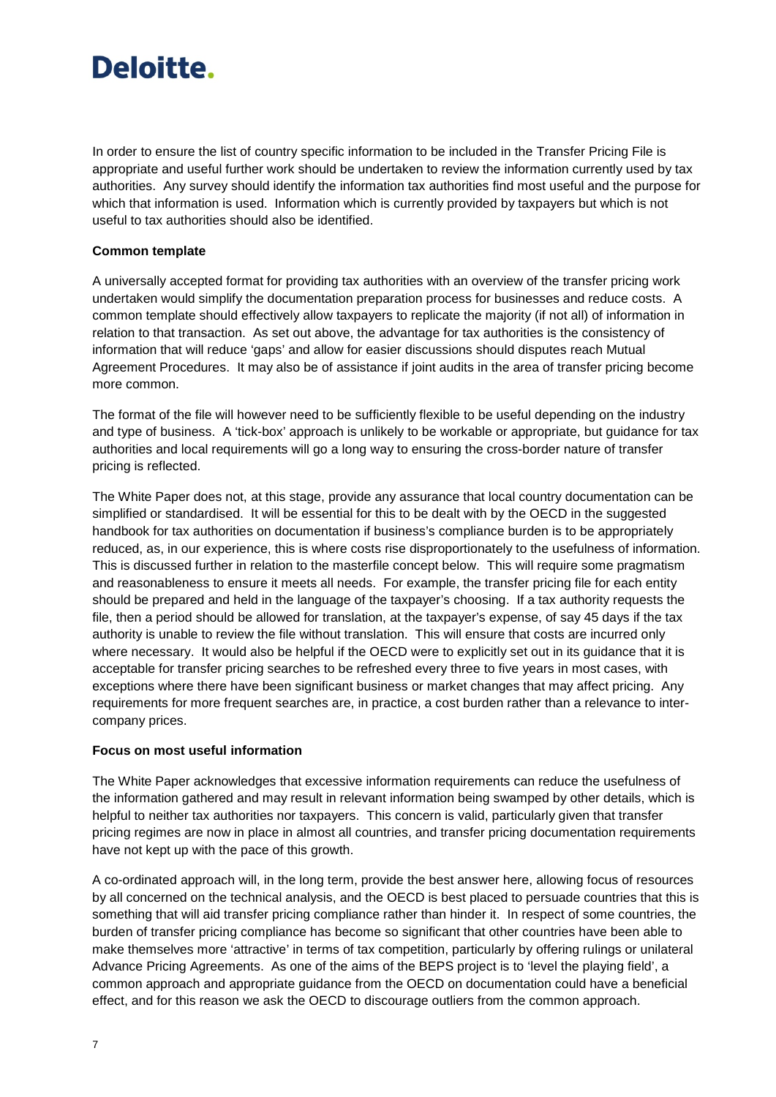In order to ensure the list of country specific information to be included in the Transfer Pricing File is appropriate and useful further work should be undertaken to review the information currently used by tax authorities. Any survey should identify the information tax authorities find most useful and the purpose for which that information is used. Information which is currently provided by taxpayers but which is not useful to tax authorities should also be identified.

#### **Common template**

A universally accepted format for providing tax authorities with an overview of the transfer pricing work undertaken would simplify the documentation preparation process for businesses and reduce costs. A common template should effectively allow taxpayers to replicate the majority (if not all) of information in relation to that transaction. As set out above, the advantage for tax authorities is the consistency of information that will reduce 'gaps' and allow for easier discussions should disputes reach Mutual Agreement Procedures. It may also be of assistance if joint audits in the area of transfer pricing become more common.

The format of the file will however need to be sufficiently flexible to be useful depending on the industry and type of business. A 'tick-box' approach is unlikely to be workable or appropriate, but guidance for tax authorities and local requirements will go a long way to ensuring the cross-border nature of transfer pricing is reflected.

The White Paper does not, at this stage, provide any assurance that local country documentation can be simplified or standardised. It will be essential for this to be dealt with by the OECD in the suggested handbook for tax authorities on documentation if business's compliance burden is to be appropriately reduced, as, in our experience, this is where costs rise disproportionately to the usefulness of information. This is discussed further in relation to the masterfile concept below. This will require some pragmatism and reasonableness to ensure it meets all needs. For example, the transfer pricing file for each entity should be prepared and held in the language of the taxpayer's choosing. If a tax authority requests the file, then a period should be allowed for translation, at the taxpayer's expense, of say 45 days if the tax authority is unable to review the file without translation. This will ensure that costs are incurred only where necessary. It would also be helpful if the OECD were to explicitly set out in its guidance that it is acceptable for transfer pricing searches to be refreshed every three to five years in most cases, with exceptions where there have been significant business or market changes that may affect pricing. Any requirements for more frequent searches are, in practice, a cost burden rather than a relevance to intercompany prices.

#### **Focus on most useful information**

The White Paper acknowledges that excessive information requirements can reduce the usefulness of the information gathered and may result in relevant information being swamped by other details, which is helpful to neither tax authorities nor taxpayers. This concern is valid, particularly given that transfer pricing regimes are now in place in almost all countries, and transfer pricing documentation requirements have not kept up with the pace of this growth.

A co-ordinated approach will, in the long term, provide the best answer here, allowing focus of resources by all concerned on the technical analysis, and the OECD is best placed to persuade countries that this is something that will aid transfer pricing compliance rather than hinder it. In respect of some countries, the burden of transfer pricing compliance has become so significant that other countries have been able to make themselves more 'attractive' in terms of tax competition, particularly by offering rulings or unilateral Advance Pricing Agreements. As one of the aims of the BEPS project is to 'level the playing field', a common approach and appropriate guidance from the OECD on documentation could have a beneficial effect, and for this reason we ask the OECD to discourage outliers from the common approach.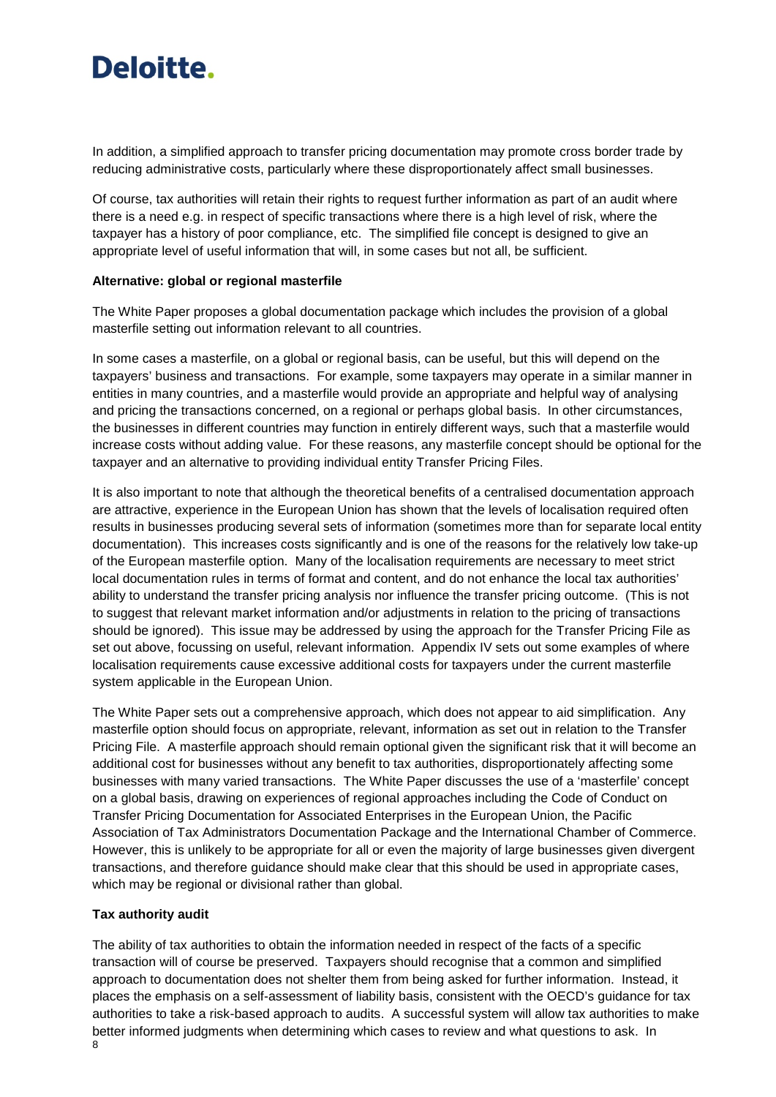In addition, a simplified approach to transfer pricing documentation may promote cross border trade by reducing administrative costs, particularly where these disproportionately affect small businesses.

Of course, tax authorities will retain their rights to request further information as part of an audit where there is a need e.g. in respect of specific transactions where there is a high level of risk, where the taxpayer has a history of poor compliance, etc. The simplified file concept is designed to give an appropriate level of useful information that will, in some cases but not all, be sufficient.

#### **Alternative: global or regional masterfile**

The White Paper proposes a global documentation package which includes the provision of a global masterfile setting out information relevant to all countries.

In some cases a masterfile, on a global or regional basis, can be useful, but this will depend on the taxpayers' business and transactions. For example, some taxpayers may operate in a similar manner in entities in many countries, and a masterfile would provide an appropriate and helpful way of analysing and pricing the transactions concerned, on a regional or perhaps global basis. In other circumstances, the businesses in different countries may function in entirely different ways, such that a masterfile would increase costs without adding value. For these reasons, any masterfile concept should be optional for the taxpayer and an alternative to providing individual entity Transfer Pricing Files.

It is also important to note that although the theoretical benefits of a centralised documentation approach are attractive, experience in the European Union has shown that the levels of localisation required often results in businesses producing several sets of information (sometimes more than for separate local entity documentation). This increases costs significantly and is one of the reasons for the relatively low take-up of the European masterfile option. Many of the localisation requirements are necessary to meet strict local documentation rules in terms of format and content, and do not enhance the local tax authorities' ability to understand the transfer pricing analysis nor influence the transfer pricing outcome. (This is not to suggest that relevant market information and/or adjustments in relation to the pricing of transactions should be ignored). This issue may be addressed by using the approach for the Transfer Pricing File as set out above, focussing on useful, relevant information. Appendix IV sets out some examples of where localisation requirements cause excessive additional costs for taxpayers under the current masterfile system applicable in the European Union.

The White Paper sets out a comprehensive approach, which does not appear to aid simplification. Any masterfile option should focus on appropriate, relevant, information as set out in relation to the Transfer Pricing File. A masterfile approach should remain optional given the significant risk that it will become an additional cost for businesses without any benefit to tax authorities, disproportionately affecting some businesses with many varied transactions. The White Paper discusses the use of a 'masterfile' concept on a global basis, drawing on experiences of regional approaches including the Code of Conduct on Transfer Pricing Documentation for Associated Enterprises in the European Union, the Pacific Association of Tax Administrators Documentation Package and the International Chamber of Commerce. However, this is unlikely to be appropriate for all or even the majority of large businesses given divergent transactions, and therefore guidance should make clear that this should be used in appropriate cases, which may be regional or divisional rather than global.

#### **Tax authority audit**

The ability of tax authorities to obtain the information needed in respect of the facts of a specific transaction will of course be preserved. Taxpayers should recognise that a common and simplified approach to documentation does not shelter them from being asked for further information. Instead, it places the emphasis on a self-assessment of liability basis, consistent with the OECD's guidance for tax authorities to take a risk-based approach to audits. A successful system will allow tax authorities to make better informed judgments when determining which cases to review and what questions to ask. In 8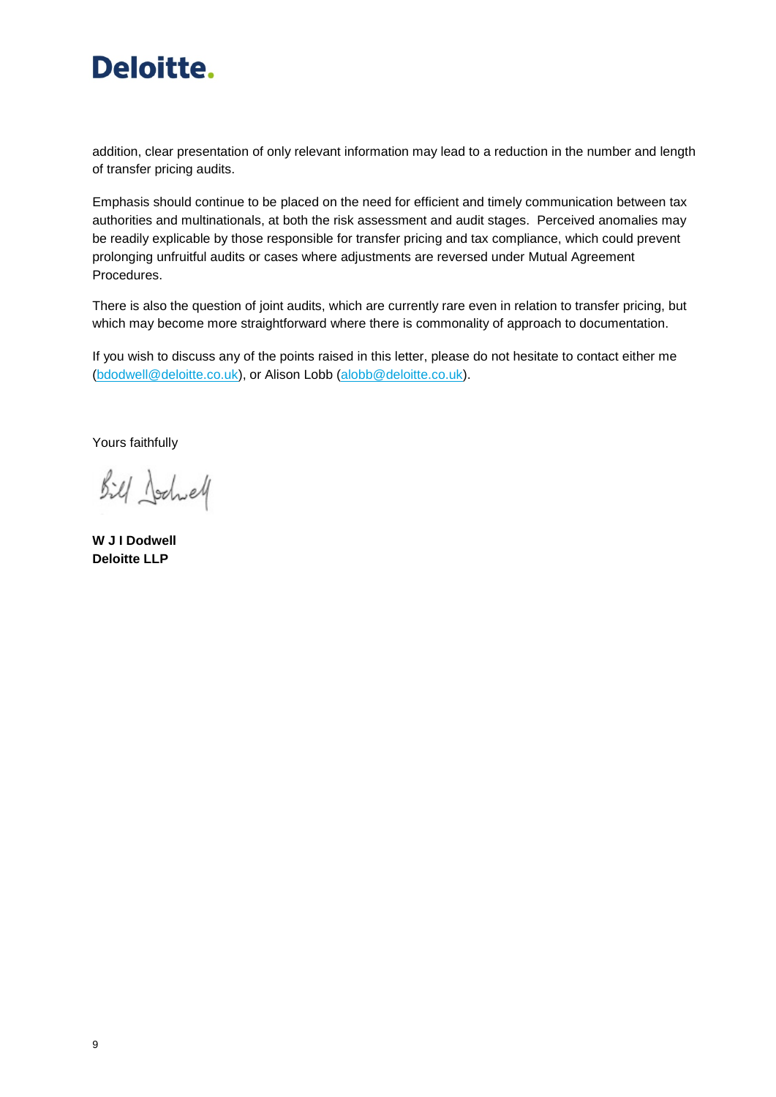

addition, clear presentation of only relevant information may lead to a reduction in the number and length of transfer pricing audits.

Emphasis should continue to be placed on the need for efficient and timely communication between tax authorities and multinationals, at both the risk assessment and audit stages. Perceived anomalies may be readily explicable by those responsible for transfer pricing and tax compliance, which could prevent prolonging unfruitful audits or cases where adjustments are reversed under Mutual Agreement Procedures.

There is also the question of joint audits, which are currently rare even in relation to transfer pricing, but which may become more straightforward where there is commonality of approach to documentation.

If you wish to discuss any of the points raised in this letter, please do not hesitate to contact either me [\(bdodwell@deloitte.co.uk\)](mailto:bdodwell@deloitte.co.uk), or Alison Lobb [\(alobb@deloitte.co.uk\)](mailto:alobb@deloitte.co.uk).

Yours faithfully

Bill Jochel

**W J I Dodwell Deloitte LLP**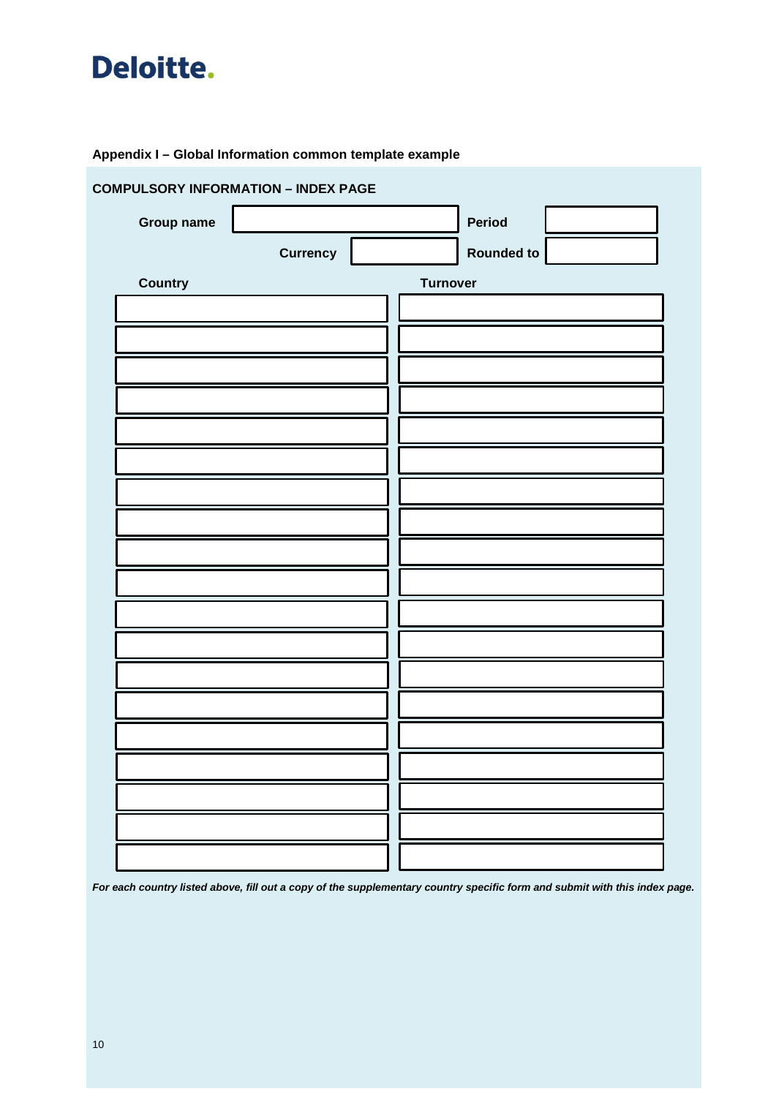

### **Appendix I – Global Information common template example**

| <b>COMPULSORY INFORMATION - INDEX PAGE</b> |                 |                   |  |  |  |  |  |
|--------------------------------------------|-----------------|-------------------|--|--|--|--|--|
| <b>Group name</b>                          |                 | Period            |  |  |  |  |  |
| <b>Currency</b>                            |                 | <b>Rounded to</b> |  |  |  |  |  |
| <b>Country</b>                             | <b>Turnover</b> |                   |  |  |  |  |  |
|                                            |                 |                   |  |  |  |  |  |
|                                            |                 |                   |  |  |  |  |  |
|                                            |                 |                   |  |  |  |  |  |
|                                            |                 |                   |  |  |  |  |  |
|                                            |                 |                   |  |  |  |  |  |
|                                            |                 |                   |  |  |  |  |  |
|                                            |                 |                   |  |  |  |  |  |
|                                            |                 |                   |  |  |  |  |  |
|                                            |                 |                   |  |  |  |  |  |
|                                            |                 |                   |  |  |  |  |  |
|                                            |                 |                   |  |  |  |  |  |
|                                            |                 |                   |  |  |  |  |  |
|                                            |                 |                   |  |  |  |  |  |
|                                            |                 |                   |  |  |  |  |  |
|                                            |                 |                   |  |  |  |  |  |
|                                            |                 |                   |  |  |  |  |  |
|                                            |                 |                   |  |  |  |  |  |
|                                            |                 |                   |  |  |  |  |  |
|                                            |                 |                   |  |  |  |  |  |

*For each country listed above, fill out a copy of the supplementary country specific form and submit with this index page.*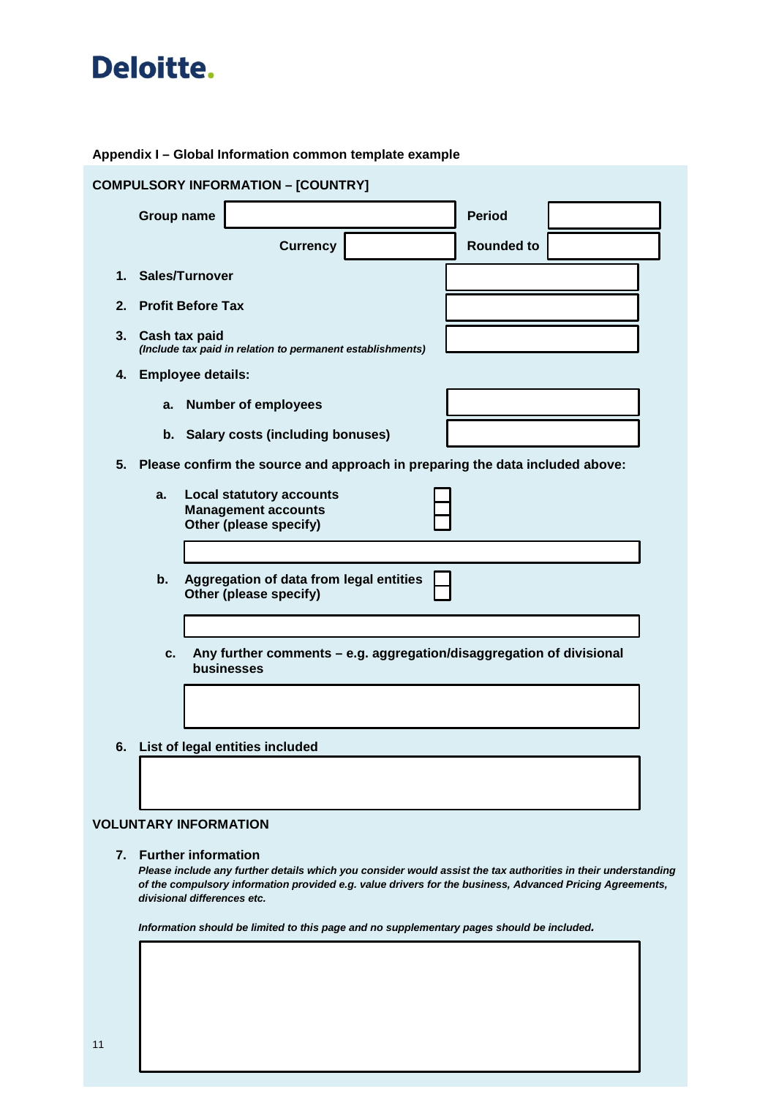#### **Appendix I – Global Information common template example**

| <b>COMPULSORY INFORMATION - [COUNTRY]</b> |                                                                                         |                   |  |  |  |  |
|-------------------------------------------|-----------------------------------------------------------------------------------------|-------------------|--|--|--|--|
| <b>Group name</b>                         |                                                                                         | <b>Period</b>     |  |  |  |  |
|                                           | <b>Currency</b>                                                                         | <b>Rounded to</b> |  |  |  |  |
| 1.                                        | Sales/Turnover                                                                          |                   |  |  |  |  |
| 2.                                        | <b>Profit Before Tax</b>                                                                |                   |  |  |  |  |
| 3.<br>Cash tax paid                       | (Include tax paid in relation to permanent establishments)                              |                   |  |  |  |  |
| <b>Employee details:</b><br>4.            |                                                                                         |                   |  |  |  |  |
| a.                                        | <b>Number of employees</b>                                                              |                   |  |  |  |  |
|                                           | b. Salary costs (including bonuses)                                                     |                   |  |  |  |  |
| 5.                                        | Please confirm the source and approach in preparing the data included above:            |                   |  |  |  |  |
| a.                                        | <b>Local statutory accounts</b><br><b>Management accounts</b><br>Other (please specify) |                   |  |  |  |  |
| b.                                        | Aggregation of data from legal entities<br>Other (please specify)                       |                   |  |  |  |  |
| C.                                        | Any further comments - e.g. aggregation/disaggregation of divisional<br>businesses      |                   |  |  |  |  |
|                                           |                                                                                         |                   |  |  |  |  |
| 6.                                        | List of legal entities included                                                         |                   |  |  |  |  |
|                                           |                                                                                         |                   |  |  |  |  |

### **VOLUNTARY INFORMATION**

#### **7. Further information**

*Please include any further details which you consider would assist the tax authorities in their understanding of the compulsory information provided e.g. value drivers for the business, Advanced Pricing Agreements, divisional differences etc.*

*Information should be limited to this page and no supplementary pages should be included.*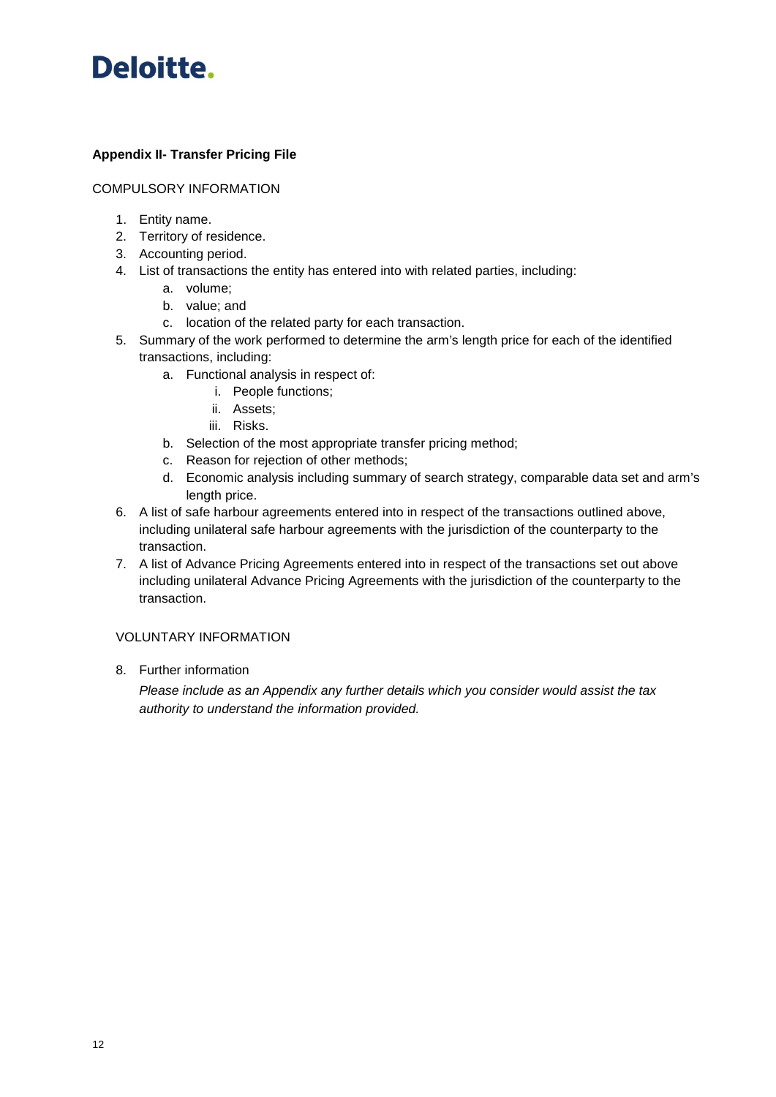

### **Appendix II- Transfer Pricing File**

#### COMPULSORY INFORMATION

- 1. Entity name.
- 2. Territory of residence.
- 3. Accounting period.
- 4. List of transactions the entity has entered into with related parties, including:
	- a. volume;
	- b. value; and
	- c. location of the related party for each transaction.
- 5. Summary of the work performed to determine the arm's length price for each of the identified transactions, including:
	- a. Functional analysis in respect of:
		- i. People functions;
		- ii. Assets;
		- iii. Risks.
	- b. Selection of the most appropriate transfer pricing method;
	- c. Reason for rejection of other methods;
	- d. Economic analysis including summary of search strategy, comparable data set and arm's length price.
- 6. A list of safe harbour agreements entered into in respect of the transactions outlined above, including unilateral safe harbour agreements with the jurisdiction of the counterparty to the transaction.
- 7. A list of Advance Pricing Agreements entered into in respect of the transactions set out above including unilateral Advance Pricing Agreements with the jurisdiction of the counterparty to the transaction.

#### VOLUNTARY INFORMATION

8. Further information

*Please include as an Appendix any further details which you consider would assist the tax authority to understand the information provided.*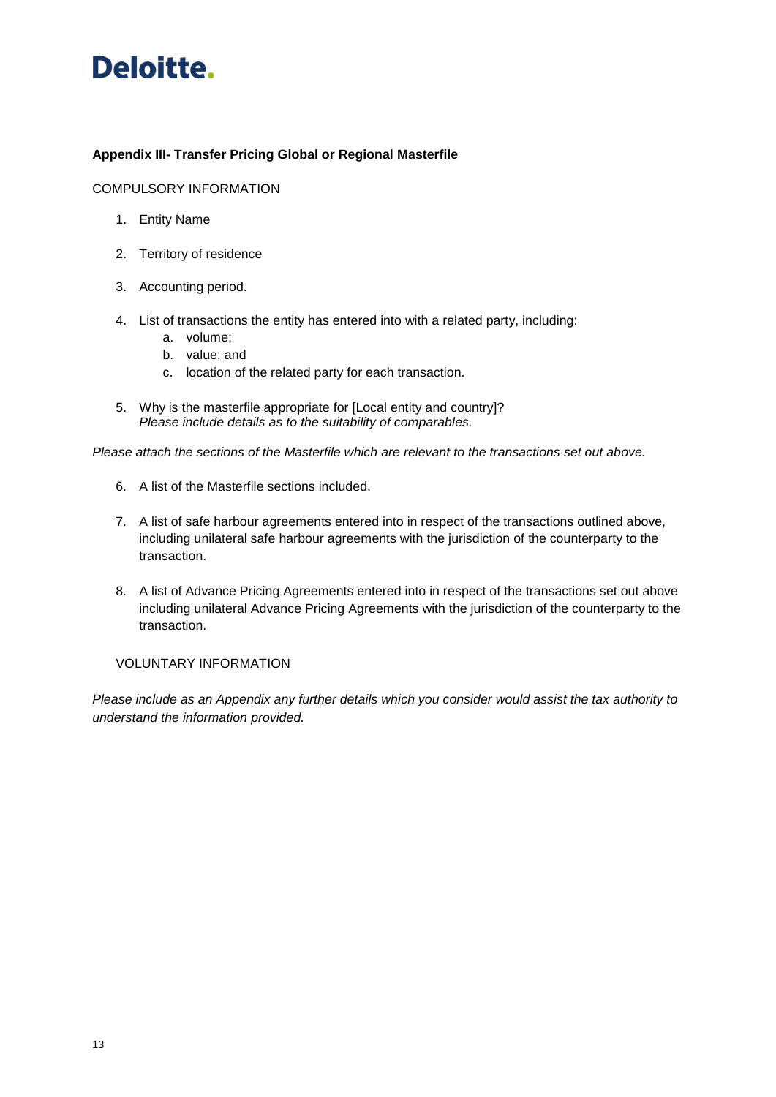

#### **Appendix III- Transfer Pricing Global or Regional Masterfile**

#### COMPULSORY INFORMATION

- 1. Entity Name
- 2. Territory of residence
- 3. Accounting period.
- 4. List of transactions the entity has entered into with a related party, including:
	- a. volume;
	- b. value; and
	- c. location of the related party for each transaction.
- 5. Why is the masterfile appropriate for [Local entity and country]? *Please include details as to the suitability of comparables.*

*Please attach the sections of the Masterfile which are relevant to the transactions set out above.*

- 6. A list of the Masterfile sections included.
- 7. A list of safe harbour agreements entered into in respect of the transactions outlined above, including unilateral safe harbour agreements with the jurisdiction of the counterparty to the transaction.
- 8. A list of Advance Pricing Agreements entered into in respect of the transactions set out above including unilateral Advance Pricing Agreements with the jurisdiction of the counterparty to the transaction.

#### VOLUNTARY INFORMATION

*Please include as an Appendix any further details which you consider would assist the tax authority to understand the information provided.*